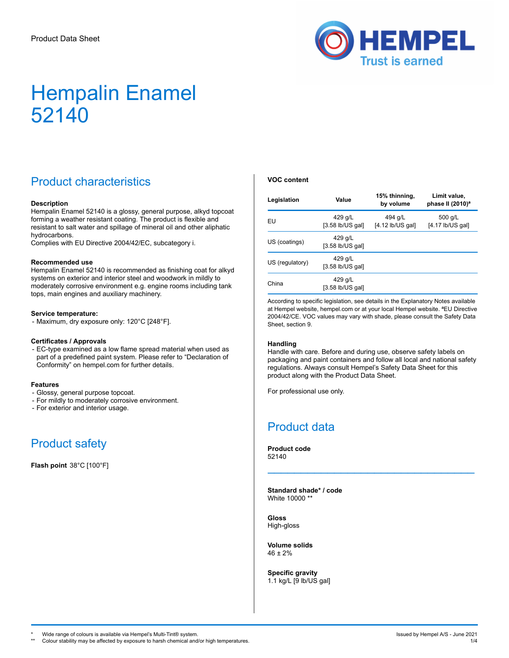

## Product characteristics

#### **Description**

Hempalin Enamel 52140 is a glossy, general purpose, alkyd topcoat forming a weather resistant coating. The product is flexible and resistant to salt water and spillage of mineral oil and other aliphatic hydrocarbons.

Complies with EU Directive 2004/42/EC, subcategory i.

#### **Recommended use**

Hempalin Enamel 52140 is recommended as finishing coat for alkyd systems on exterior and interior steel and woodwork in mildly to moderately corrosive environment e.g. engine rooms including tank tops, main engines and auxiliary machinery.

#### **Service temperature:**

- Maximum, dry exposure only: 120°C [248°F].

#### **Certificates / Approvals**

- EC-type examined as a low flame spread material when used as part of a predefined paint system. Please refer to "Declaration of Conformity" on hempel.com for further details.

#### **Features**

- Glossy, general purpose topcoat.
- For mildly to moderately corrosive environment.
- For exterior and interior usage.

## Product safety

**Flash point** 38°C [100°F]

#### **VOC content**

| Value<br>Legislation                             |                               | 15% thinning,<br>by volume    | Limit value.<br>phase II $(2010)^a$ |
|--------------------------------------------------|-------------------------------|-------------------------------|-------------------------------------|
| 429 g/L<br>EU<br>$[3.58$ lb/US gal]              |                               | 494 g/L<br>$[4.12$ lb/US gall | 500 g/L<br>$[4.17$ lb/US gal]       |
| US (coatings)                                    | 429 g/L<br>$[3.58$ lb/US gal] |                               |                                     |
| 429 g/L<br>US (regulatory)<br>$[3.58$ lb/US gal] |                               |                               |                                     |
| China                                            | 429 g/L<br>$[3.58$ lb/US gal] |                               |                                     |

According to specific legislation, see details in the Explanatory Notes available at Hempel website, hempel.com or at your local Hempel website. ªEU Directive 2004/42/CE. VOC values may vary with shade, please consult the Safety Data Sheet, section 9.

#### **Handling**

Handle with care. Before and during use, observe safety labels on packaging and paint containers and follow all local and national safety regulations. Always consult Hempel's Safety Data Sheet for this product along with the Product Data Sheet.

\_\_\_\_\_\_\_\_\_\_\_\_\_\_\_\_\_\_\_\_\_\_\_\_\_\_\_\_\_\_\_

For professional use only.

### Product data

**Product code** 52140

**Standard shade\* / code** White 10000 \*\*

**Gloss** High-gloss

**Volume solids** 46 ± 2%

**Specific gravity** 1.1 kg/L [9 lb/US gal]

\* Wide range of colours is available via Hempel's Multi-Tint® system. In the system of the system of the system of the system of the system of the system of the system of the system of the system of the system of the syste

Colour stability may be affected by exposure to harsh chemical and/or high temperatures.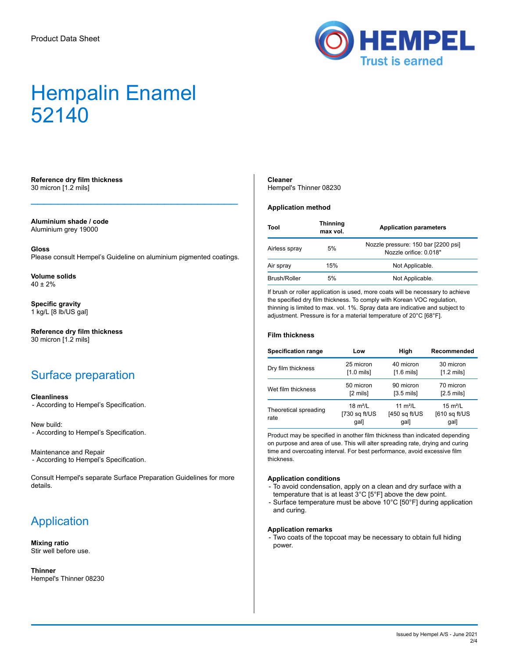

#### **Reference dry film thickness** 30 micron [1.2 mils]

**Aluminium shade / code** Aluminium grey 19000

**Gloss**

Please consult Hempel's Guideline on aluminium pigmented coatings.

 $\mathcal{L}_\mathcal{L}$  , which is a set of the set of the set of the set of the set of the set of the set of the set of the set of the set of the set of the set of the set of the set of the set of the set of the set of the set of

**Volume solids**  $40 + 2%$ 

**Specific gravity** 1 kg/L [8 lb/US gal]

**Reference dry film thickness** 30 micron [1.2 mils]

### Surface preparation

#### **Cleanliness**

- According to Hempel's Specification.

New build: - According to Hempel's Specification.

Maintenance and Repair - According to Hempel's Specification.

Consult Hempel's separate Surface Preparation Guidelines for more details.

## Application

**Mixing ratio** Stir well before use.

**Thinner** Hempel's Thinner 08230

#### **Cleaner**

Hempel's Thinner 08230

#### **Application method**

| Tool          | <b>Thinning</b><br>max vol. | <b>Application parameters</b>                                 |
|---------------|-----------------------------|---------------------------------------------------------------|
| Airless spray | 5%                          | Nozzle pressure: 150 bar [2200 psi]<br>Nozzle orifice: 0.018" |
| Air spray     | 15%                         | Not Applicable.                                               |
| Brush/Roller  | 5%                          | Not Applicable.                                               |

If brush or roller application is used, more coats will be necessary to achieve the specified dry film thickness. To comply with Korean VOC regulation, thinning is limited to max. vol. 1%. Spray data are indicative and subject to adjustment. Pressure is for a material temperature of 20°C [68°F].

#### **Film thickness**

| <b>Specification range</b>    | Low                                                                    | High                                  | Recommended                                          |  |
|-------------------------------|------------------------------------------------------------------------|---------------------------------------|------------------------------------------------------|--|
| Dry film thickness            | 25 micron<br>40 micron<br>$[1.0 \text{ mils}]$<br>$[1.6 \text{ mils}]$ |                                       | 30 micron<br>$[1.2 \text{ mils}]$                    |  |
| Wet film thickness            | 50 micron<br>[2 mils]                                                  | 90 micron<br>$[3.5 \text{ mils}]$     | 70 micron<br>$[2.5 \text{ mils}]$                    |  |
| Theoretical spreading<br>rate | 18 $m^2/L$<br>$[730$ sq $ft/US$<br>gal]                                | 11 $m^2/L$<br>$[450$ sq ft/US<br>gal] | $15 \text{ m}^2/\text{L}$<br>$[610$ sq ft/US<br>gal] |  |

Product may be specified in another film thickness than indicated depending on purpose and area of use. This will alter spreading rate, drying and curing time and overcoating interval. For best performance, avoid excessive film thickness.

#### **Application conditions**

- To avoid condensation, apply on a clean and dry surface with a temperature that is at least 3°C [5°F] above the dew point.
- Surface temperature must be above 10°C [50°F] during application and curing.

#### **Application remarks**

- Two coats of the topcoat may be necessary to obtain full hiding power.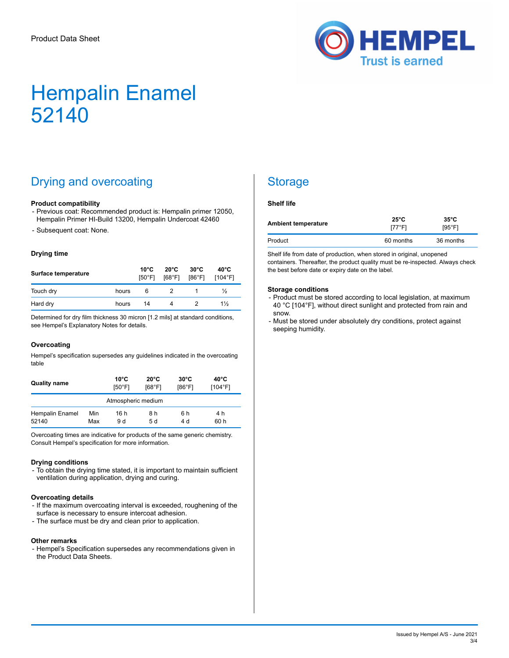

# Drying and overcoating

#### **Product compatibility**

- Previous coat: Recommended product is: Hempalin primer 12050, Hempalin Primer HI-Build 13200, Hempalin Undercoat 42460
- Subsequent coat: None.

#### **Drying time**

| Surface temperature |       | $10^{\circ}$ C<br>[50°F] | $20^{\circ}$ C<br>[68°F] | $30^{\circ}$ C<br>[86°F] | 40°C<br>[104°F] |
|---------------------|-------|--------------------------|--------------------------|--------------------------|-----------------|
| Touch dry           | hours | 6                        |                          |                          | ⅓               |
| Hard dry            | hours | 14                       | 4                        |                          | $1\frac{1}{2}$  |

Determined for dry film thickness 30 micron [1.2 mils] at standard conditions, see Hempel's Explanatory Notes for details.

#### **Overcoating**

Hempel's specification supersedes any guidelines indicated in the overcoating table

| <b>Quality name</b>      |            | $10^{\circ}$ C<br>[50°F] | $20^{\circ}$ C<br>[68°F1 | $30^{\circ}$ C<br>[86°F1 | $40^{\circ}$ C<br>[104°F] |
|--------------------------|------------|--------------------------|--------------------------|--------------------------|---------------------------|
| Atmospheric medium       |            |                          |                          |                          |                           |
| Hempalin Enamel<br>52140 | Min<br>Max | 16 h<br>9 d              | 8 h<br>5 d               | 6 h<br>4 d               | 4 h<br>60 h               |

Overcoating times are indicative for products of the same generic chemistry. Consult Hempel's specification for more information.

#### **Drying conditions**

- To obtain the drying time stated, it is important to maintain sufficient ventilation during application, drying and curing.

#### **Overcoating details**

- If the maximum overcoating interval is exceeded, roughening of the surface is necessary to ensure intercoat adhesion.
- The surface must be dry and clean prior to application.

#### **Other remarks**

- Hempel's Specification supersedes any recommendations given in the Product Data Sheets.

## **Storage**

#### **Shelf life**

| <b>Ambient temperature</b> | $25^{\circ}$ C<br>[77°F] | $35^{\circ}$ C<br>$[95^{\circ}$ F1 |
|----------------------------|--------------------------|------------------------------------|
| Product                    | 60 months                | 36 months                          |

Shelf life from date of production, when stored in original, unopened containers. Thereafter, the product quality must be re-inspected. Always check the best before date or expiry date on the label.

#### **Storage conditions**

- Product must be stored according to local legislation, at maximum 40 °C [104°F], without direct sunlight and protected from rain and snow.
- Must be stored under absolutely dry conditions, protect against seeping humidity.